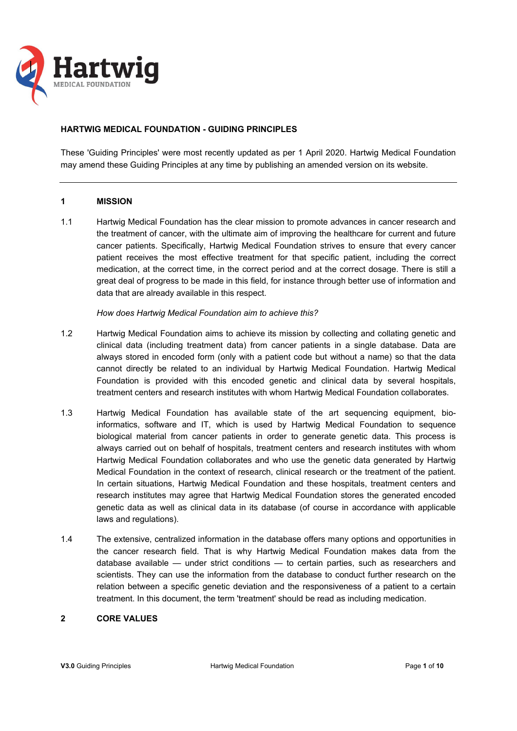

## **HARTWIG MEDICAL FOUNDATION - GUIDING PRINCIPLES**

These 'Guiding Principles' were most recently updated as per 1 April 2020. Hartwig Medical Foundation may amend these Guiding Principles at any time by publishing an amended version on its website.

### **1 MISSION**

1.1 Hartwig Medical Foundation has the clear mission to promote advances in cancer research and the treatment of cancer, with the ultimate aim of improving the healthcare for current and future cancer patients. Specifically, Hartwig Medical Foundation strives to ensure that every cancer patient receives the most effective treatment for that specific patient, including the correct medication, at the correct time, in the correct period and at the correct dosage. There is still a great deal of progress to be made in this field, for instance through better use of information and data that are already available in this respect.

*How does Hartwig Medical Foundation aim to achieve this?* 

- 1.2 Hartwig Medical Foundation aims to achieve its mission by collecting and collating genetic and clinical data (including treatment data) from cancer patients in a single database. Data are always stored in encoded form (only with a patient code but without a name) so that the data cannot directly be related to an individual by Hartwig Medical Foundation. Hartwig Medical Foundation is provided with this encoded genetic and clinical data by several hospitals, treatment centers and research institutes with whom Hartwig Medical Foundation collaborates.
- 1.3 Hartwig Medical Foundation has available state of the art sequencing equipment, bioinformatics, software and IT, which is used by Hartwig Medical Foundation to sequence biological material from cancer patients in order to generate genetic data. This process is always carried out on behalf of hospitals, treatment centers and research institutes with whom Hartwig Medical Foundation collaborates and who use the genetic data generated by Hartwig Medical Foundation in the context of research, clinical research or the treatment of the patient. In certain situations, Hartwig Medical Foundation and these hospitals, treatment centers and research institutes may agree that Hartwig Medical Foundation stores the generated encoded genetic data as well as clinical data in its database (of course in accordance with applicable laws and regulations).
- 1.4 The extensive, centralized information in the database offers many options and opportunities in the cancer research field. That is why Hartwig Medical Foundation makes data from the database available — under strict conditions — to certain parties, such as researchers and scientists. They can use the information from the database to conduct further research on the relation between a specific genetic deviation and the responsiveness of a patient to a certain treatment. In this document, the term 'treatment' should be read as including medication.

### **2 CORE VALUES**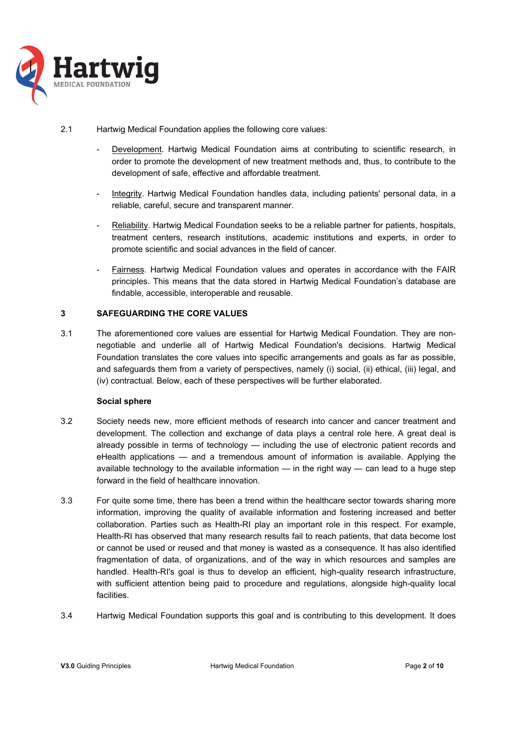

- 2.1 Hartwig Medical Foundation applies the following core values:
	- Development. Hartwig Medical Foundation aims at contributing to scientific research, in order to promote the development of new treatment methods and, thus, to contribute to the development of safe, effective and affordable treatment.
	- Integrity. Hartwig Medical Foundation handles data, including patients' personal data, in a reliable, careful, secure and transparent manner.
	- Reliability. Hartwig Medical Foundation seeks to be a reliable partner for patients, hospitals, treatment centers, research institutions, academic institutions and experts, in order to promote scientific and social advances in the field of cancer.
	- Fairness. Hartwig Medical Foundation values and operates in accordance with the FAIR principles. This means that the data stored in Hartwig Medical Foundation's database are findable, accessible, interoperable and reusable.

# **3 SAFEGUARDING THE CORE VALUES**

3.1 The aforementioned core values are essential for Hartwig Medical Foundation. They are nonnegotiable and underlie all of Hartwig Medical Foundation's decisions. Hartwig Medical Foundation translates the core values into specific arrangements and goals as far as possible, and safeguards them from a variety of perspectives, namely (i) social, (ii) ethical, (iii) legal, and (iv) contractual. Below, each of these perspectives will be further elaborated.

## **Social sphere**

- 3.2 Society needs new, more efficient methods of research into cancer and cancer treatment and development. The collection and exchange of data plays a central role here. A great deal is already possible in terms of technology — including the use of electronic patient records and eHealth applications — and a tremendous amount of information is available. Applying the available technology to the available information  $-$  in the right way  $-$  can lead to a huge step forward in the field of healthcare innovation.
- 3.3 For quite some time, there has been a trend within the healthcare sector towards sharing more information, improving the quality of available information and fostering increased and better collaboration. Parties such as Health-RI play an important role in this respect. For example, Health-RI has observed that many research results fail to reach patients, that data become lost or cannot be used or reused and that money is wasted as a consequence. It has also identified fragmentation of data, of organizations, and of the way in which resources and samples are handled. Health-RI's goal is thus to develop an efficient, high-quality research infrastructure, with sufficient attention being paid to procedure and regulations, alongside high-quality local **facilities**
- 3.4 Hartwig Medical Foundation supports this goal and is contributing to this development. It does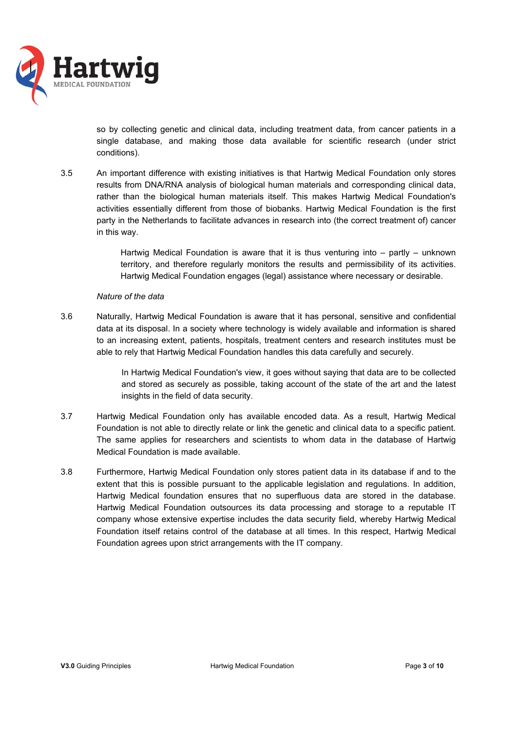

so by collecting genetic and clinical data, including treatment data, from cancer patients in a single database, and making those data available for scientific research (under strict conditions).

3.5 An important difference with existing initiatives is that Hartwig Medical Foundation only stores results from DNA/RNA analysis of biological human materials and corresponding clinical data, rather than the biological human materials itself. This makes Hartwig Medical Foundation's activities essentially different from those of biobanks. Hartwig Medical Foundation is the first party in the Netherlands to facilitate advances in research into (the correct treatment of) cancer in this way.

> Hartwig Medical Foundation is aware that it is thus venturing into – partly – unknown territory, and therefore regularly monitors the results and permissibility of its activities. Hartwig Medical Foundation engages (legal) assistance where necessary or desirable.

### *Nature of the data*

3.6 Naturally, Hartwig Medical Foundation is aware that it has personal, sensitive and confidential data at its disposal. In a society where technology is widely available and information is shared to an increasing extent, patients, hospitals, treatment centers and research institutes must be able to rely that Hartwig Medical Foundation handles this data carefully and securely.

> In Hartwig Medical Foundation's view, it goes without saying that data are to be collected and stored as securely as possible, taking account of the state of the art and the latest insights in the field of data security.

- 3.7 Hartwig Medical Foundation only has available encoded data. As a result, Hartwig Medical Foundation is not able to directly relate or link the genetic and clinical data to a specific patient. The same applies for researchers and scientists to whom data in the database of Hartwig Medical Foundation is made available.
- 3.8 Furthermore, Hartwig Medical Foundation only stores patient data in its database if and to the extent that this is possible pursuant to the applicable legislation and regulations. In addition, Hartwig Medical foundation ensures that no superfluous data are stored in the database. Hartwig Medical Foundation outsources its data processing and storage to a reputable IT company whose extensive expertise includes the data security field, whereby Hartwig Medical Foundation itself retains control of the database at all times. In this respect, Hartwig Medical Foundation agrees upon strict arrangements with the IT company.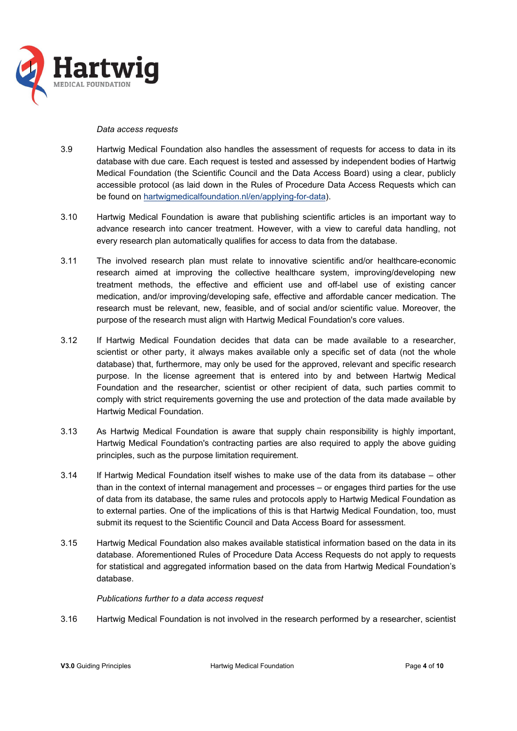

#### *Data access requests*

- 3.9 Hartwig Medical Foundation also handles the assessment of requests for access to data in its database with due care. Each request is tested and assessed by independent bodies of Hartwig Medical Foundation (the Scientific Council and the Data Access Board) using a clear, publicly accessible protocol (as laid down in the Rules of Procedure Data Access Requests which can be found on hartwigmedicalfoundation.nl/en/applying-for-data).
- 3.10 Hartwig Medical Foundation is aware that publishing scientific articles is an important way to advance research into cancer treatment. However, with a view to careful data handling, not every research plan automatically qualifies for access to data from the database.
- 3.11 The involved research plan must relate to innovative scientific and/or healthcare-economic research aimed at improving the collective healthcare system, improving/developing new treatment methods, the effective and efficient use and off-label use of existing cancer medication, and/or improving/developing safe, effective and affordable cancer medication. The research must be relevant, new, feasible, and of social and/or scientific value. Moreover, the purpose of the research must align with Hartwig Medical Foundation's core values.
- 3.12 If Hartwig Medical Foundation decides that data can be made available to a researcher, scientist or other party, it always makes available only a specific set of data (not the whole database) that, furthermore, may only be used for the approved, relevant and specific research purpose. In the license agreement that is entered into by and between Hartwig Medical Foundation and the researcher, scientist or other recipient of data, such parties commit to comply with strict requirements governing the use and protection of the data made available by Hartwig Medical Foundation.
- 3.13 As Hartwig Medical Foundation is aware that supply chain responsibility is highly important, Hartwig Medical Foundation's contracting parties are also required to apply the above guiding principles, such as the purpose limitation requirement.
- 3.14 If Hartwig Medical Foundation itself wishes to make use of the data from its database other than in the context of internal management and processes – or engages third parties for the use of data from its database, the same rules and protocols apply to Hartwig Medical Foundation as to external parties. One of the implications of this is that Hartwig Medical Foundation, too, must submit its request to the Scientific Council and Data Access Board for assessment.
- 3.15 Hartwig Medical Foundation also makes available statistical information based on the data in its database. Aforementioned Rules of Procedure Data Access Requests do not apply to requests for statistical and aggregated information based on the data from Hartwig Medical Foundation's database.

### *Publications further to a data access request*

3.16 Hartwig Medical Foundation is not involved in the research performed by a researcher, scientist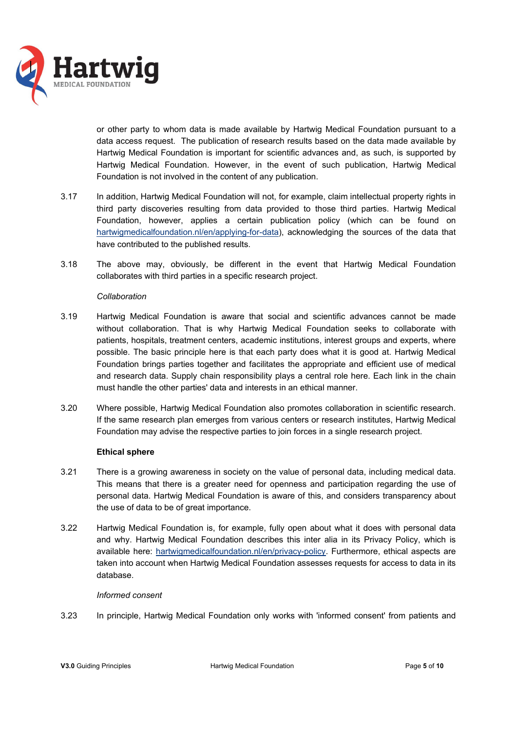

or other party to whom data is made available by Hartwig Medical Foundation pursuant to a data access request. The publication of research results based on the data made available by Hartwig Medical Foundation is important for scientific advances and, as such, is supported by Hartwig Medical Foundation. However, in the event of such publication, Hartwig Medical Foundation is not involved in the content of any publication.

- 3.17 In addition, Hartwig Medical Foundation will not, for example, claim intellectual property rights in third party discoveries resulting from data provided to those third parties. Hartwig Medical Foundation, however, applies a certain publication policy (which can be found on hartwigmedicalfoundation.nl/en/applying-for-data), acknowledging the sources of the data that have contributed to the published results.
- 3.18 The above may, obviously, be different in the event that Hartwig Medical Foundation collaborates with third parties in a specific research project.

### *Collaboration*

- 3.19 Hartwig Medical Foundation is aware that social and scientific advances cannot be made without collaboration. That is why Hartwig Medical Foundation seeks to collaborate with patients, hospitals, treatment centers, academic institutions, interest groups and experts, where possible. The basic principle here is that each party does what it is good at. Hartwig Medical Foundation brings parties together and facilitates the appropriate and efficient use of medical and research data. Supply chain responsibility plays a central role here. Each link in the chain must handle the other parties' data and interests in an ethical manner.
- 3.20 Where possible, Hartwig Medical Foundation also promotes collaboration in scientific research. If the same research plan emerges from various centers or research institutes, Hartwig Medical Foundation may advise the respective parties to join forces in a single research project.

### **Ethical sphere**

- 3.21 There is a growing awareness in society on the value of personal data, including medical data. This means that there is a greater need for openness and participation regarding the use of personal data. Hartwig Medical Foundation is aware of this, and considers transparency about the use of data to be of great importance.
- 3.22 Hartwig Medical Foundation is, for example, fully open about what it does with personal data and why. Hartwig Medical Foundation describes this inter alia in its Privacy Policy, which is available here: hartwigmedicalfoundation.nl/en/privacy-policy. Furthermore, ethical aspects are taken into account when Hartwig Medical Foundation assesses requests for access to data in its database.

### *Informed consent*

3.23 In principle, Hartwig Medical Foundation only works with 'informed consent' from patients and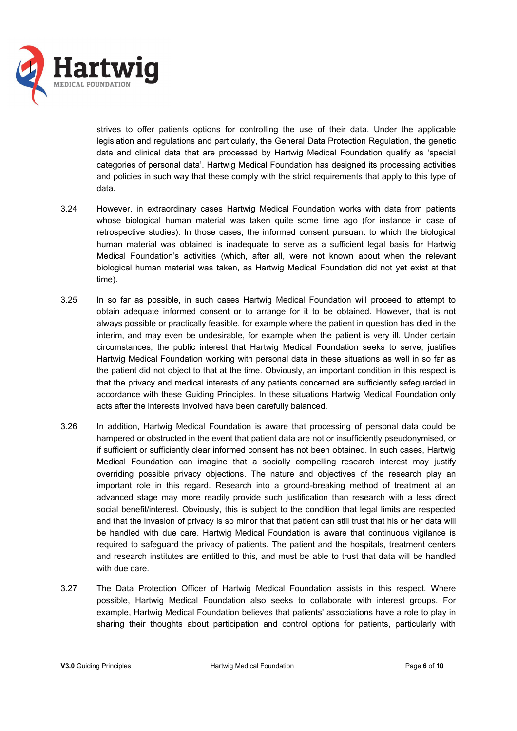

strives to offer patients options for controlling the use of their data. Under the applicable legislation and regulations and particularly, the General Data Protection Regulation, the genetic data and clinical data that are processed by Hartwig Medical Foundation qualify as 'special categories of personal data'. Hartwig Medical Foundation has designed its processing activities and policies in such way that these comply with the strict requirements that apply to this type of data.

- 3.24 However, in extraordinary cases Hartwig Medical Foundation works with data from patients whose biological human material was taken quite some time ago (for instance in case of retrospective studies). In those cases, the informed consent pursuant to which the biological human material was obtained is inadequate to serve as a sufficient legal basis for Hartwig Medical Foundation's activities (which, after all, were not known about when the relevant biological human material was taken, as Hartwig Medical Foundation did not yet exist at that time).
- 3.25 In so far as possible, in such cases Hartwig Medical Foundation will proceed to attempt to obtain adequate informed consent or to arrange for it to be obtained. However, that is not always possible or practically feasible, for example where the patient in question has died in the interim, and may even be undesirable, for example when the patient is very ill. Under certain circumstances, the public interest that Hartwig Medical Foundation seeks to serve, justifies Hartwig Medical Foundation working with personal data in these situations as well in so far as the patient did not object to that at the time. Obviously, an important condition in this respect is that the privacy and medical interests of any patients concerned are sufficiently safeguarded in accordance with these Guiding Principles. In these situations Hartwig Medical Foundation only acts after the interests involved have been carefully balanced.
- 3.26 In addition, Hartwig Medical Foundation is aware that processing of personal data could be hampered or obstructed in the event that patient data are not or insufficiently pseudonymised, or if sufficient or sufficiently clear informed consent has not been obtained. In such cases, Hartwig Medical Foundation can imagine that a socially compelling research interest may justify overriding possible privacy objections. The nature and objectives of the research play an important role in this regard. Research into a ground-breaking method of treatment at an advanced stage may more readily provide such justification than research with a less direct social benefit/interest. Obviously, this is subject to the condition that legal limits are respected and that the invasion of privacy is so minor that that patient can still trust that his or her data will be handled with due care. Hartwig Medical Foundation is aware that continuous vigilance is required to safeguard the privacy of patients. The patient and the hospitals, treatment centers and research institutes are entitled to this, and must be able to trust that data will be handled with due care.
- 3.27 The Data Protection Officer of Hartwig Medical Foundation assists in this respect. Where possible, Hartwig Medical Foundation also seeks to collaborate with interest groups. For example, Hartwig Medical Foundation believes that patients' associations have a role to play in sharing their thoughts about participation and control options for patients, particularly with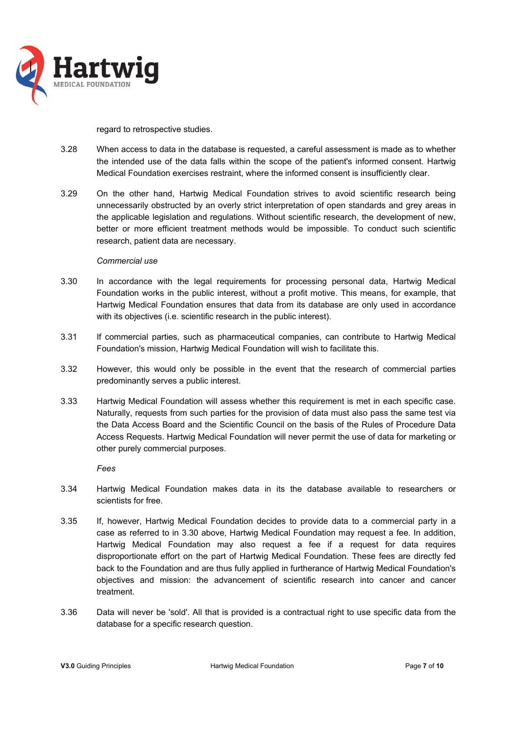

#### regard to retrospective studies.

- 3.28 When access to data in the database is requested, a careful assessment is made as to whether the intended use of the data falls within the scope of the patient's informed consent. Hartwig Medical Foundation exercises restraint, where the informed consent is insufficiently clear.
- 3.29 On the other hand, Hartwig Medical Foundation strives to avoid scientific research being unnecessarily obstructed by an overly strict interpretation of open standards and grey areas in the applicable legislation and regulations. Without scientific research, the development of new, better or more efficient treatment methods would be impossible. To conduct such scientific research, patient data are necessary.

### *Commercial use*

- 3.30 In accordance with the legal requirements for processing personal data, Hartwig Medical Foundation works in the public interest, without a profit motive. This means, for example, that Hartwig Medical Foundation ensures that data from its database are only used in accordance with its objectives (i.e. scientific research in the public interest).
- 3.31 If commercial parties, such as pharmaceutical companies, can contribute to Hartwig Medical Foundation's mission, Hartwig Medical Foundation will wish to facilitate this.
- 3.32 However, this would only be possible in the event that the research of commercial parties predominantly serves a public interest.
- 3.33 Hartwig Medical Foundation will assess whether this requirement is met in each specific case. Naturally, requests from such parties for the provision of data must also pass the same test via the Data Access Board and the Scientific Council on the basis of the Rules of Procedure Data Access Requests. Hartwig Medical Foundation will never permit the use of data for marketing or other purely commercial purposes.

*Fees* 

- 3.34 Hartwig Medical Foundation makes data in its the database available to researchers or scientists for free.
- 3.35 If, however, Hartwig Medical Foundation decides to provide data to a commercial party in a case as referred to in 3.30 above, Hartwig Medical Foundation may request a fee. In addition, Hartwig Medical Foundation may also request a fee if a request for data requires disproportionate effort on the part of Hartwig Medical Foundation. These fees are directly fed back to the Foundation and are thus fully applied in furtherance of Hartwig Medical Foundation's objectives and mission: the advancement of scientific research into cancer and cancer treatment.
- 3.36 Data will never be 'sold'. All that is provided is a contractual right to use specific data from the database for a specific research question.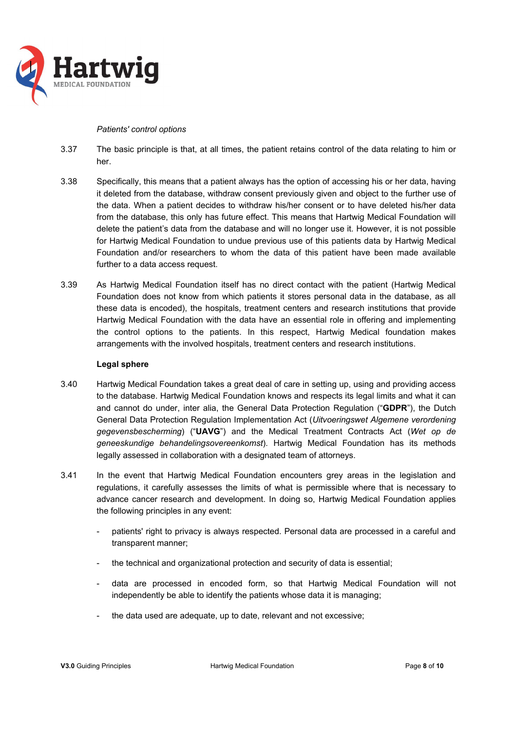

#### *Patients' control options*

- 3.37 The basic principle is that, at all times, the patient retains control of the data relating to him or her.
- 3.38 Specifically, this means that a patient always has the option of accessing his or her data, having it deleted from the database, withdraw consent previously given and object to the further use of the data. When a patient decides to withdraw his/her consent or to have deleted his/her data from the database, this only has future effect. This means that Hartwig Medical Foundation will delete the patient's data from the database and will no longer use it. However, it is not possible for Hartwig Medical Foundation to undue previous use of this patients data by Hartwig Medical Foundation and/or researchers to whom the data of this patient have been made available further to a data access request.
- 3.39 As Hartwig Medical Foundation itself has no direct contact with the patient (Hartwig Medical Foundation does not know from which patients it stores personal data in the database, as all these data is encoded), the hospitals, treatment centers and research institutions that provide Hartwig Medical Foundation with the data have an essential role in offering and implementing the control options to the patients. In this respect, Hartwig Medical foundation makes arrangements with the involved hospitals, treatment centers and research institutions.

### **Legal sphere**

- 3.40 Hartwig Medical Foundation takes a great deal of care in setting up, using and providing access to the database. Hartwig Medical Foundation knows and respects its legal limits and what it can and cannot do under, inter alia, the General Data Protection Regulation ("**GDPR**"), the Dutch General Data Protection Regulation Implementation Act (*Uitvoeringswet Algemene verordening gegevensbescherming*) ("**UAVG**") and the Medical Treatment Contracts Act (*Wet op de geneeskundige behandelingsovereenkomst*). Hartwig Medical Foundation has its methods legally assessed in collaboration with a designated team of attorneys.
- 3.41 In the event that Hartwig Medical Foundation encounters grey areas in the legislation and regulations, it carefully assesses the limits of what is permissible where that is necessary to advance cancer research and development. In doing so, Hartwig Medical Foundation applies the following principles in any event:
	- patients' right to privacy is always respected. Personal data are processed in a careful and transparent manner;
	- the technical and organizational protection and security of data is essential;
	- data are processed in encoded form, so that Hartwig Medical Foundation will not independently be able to identify the patients whose data it is managing;
	- the data used are adequate, up to date, relevant and not excessive;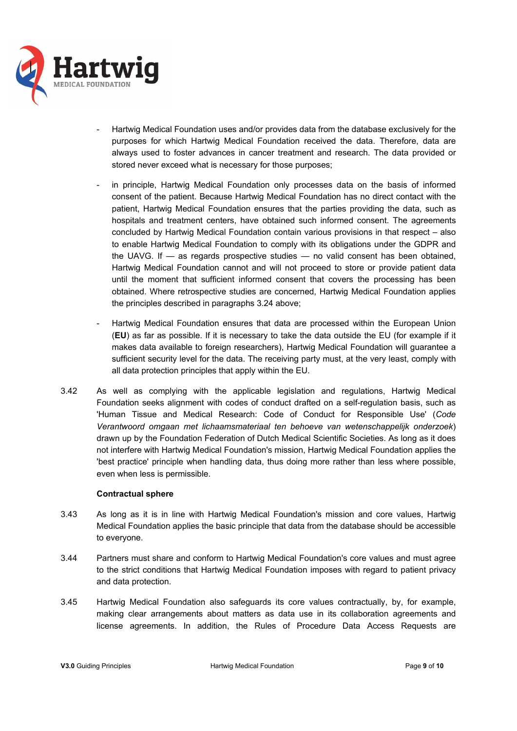

- Hartwig Medical Foundation uses and/or provides data from the database exclusively for the purposes for which Hartwig Medical Foundation received the data. Therefore, data are always used to foster advances in cancer treatment and research. The data provided or stored never exceed what is necessary for those purposes;
- in principle, Hartwig Medical Foundation only processes data on the basis of informed consent of the patient. Because Hartwig Medical Foundation has no direct contact with the patient, Hartwig Medical Foundation ensures that the parties providing the data, such as hospitals and treatment centers, have obtained such informed consent. The agreements concluded by Hartwig Medical Foundation contain various provisions in that respect – also to enable Hartwig Medical Foundation to comply with its obligations under the GDPR and the UAVG. If — as regards prospective studies — no valid consent has been obtained, Hartwig Medical Foundation cannot and will not proceed to store or provide patient data until the moment that sufficient informed consent that covers the processing has been obtained. Where retrospective studies are concerned, Hartwig Medical Foundation applies the principles described in paragraphs 3.24 above;
- Hartwig Medical Foundation ensures that data are processed within the European Union (**EU**) as far as possible. If it is necessary to take the data outside the EU (for example if it makes data available to foreign researchers), Hartwig Medical Foundation will guarantee a sufficient security level for the data. The receiving party must, at the very least, comply with all data protection principles that apply within the EU.
- 3.42 As well as complying with the applicable legislation and regulations, Hartwig Medical Foundation seeks alignment with codes of conduct drafted on a self-regulation basis, such as 'Human Tissue and Medical Research: Code of Conduct for Responsible Use' (*Code Verantwoord omgaan met lichaamsmateriaal ten behoeve van wetenschappelijk onderzoek*) drawn up by the Foundation Federation of Dutch Medical Scientific Societies. As long as it does not interfere with Hartwig Medical Foundation's mission, Hartwig Medical Foundation applies the 'best practice' principle when handling data, thus doing more rather than less where possible, even when less is permissible.

### **Contractual sphere**

- 3.43 As long as it is in line with Hartwig Medical Foundation's mission and core values, Hartwig Medical Foundation applies the basic principle that data from the database should be accessible to everyone.
- 3.44 Partners must share and conform to Hartwig Medical Foundation's core values and must agree to the strict conditions that Hartwig Medical Foundation imposes with regard to patient privacy and data protection.
- 3.45 Hartwig Medical Foundation also safeguards its core values contractually, by, for example, making clear arrangements about matters as data use in its collaboration agreements and license agreements. In addition, the Rules of Procedure Data Access Requests are